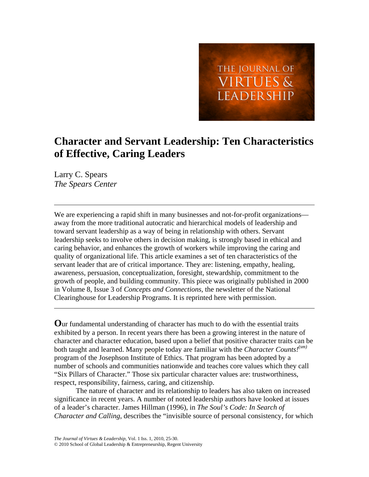

# **Character and Servant Leadership: Ten Characteristics of Effective, Caring Leaders**

Larry C. Spears *The Spears Center* 

We are experiencing a rapid shift in many businesses and not-for-profit organizations away from the more traditional autocratic and hierarchical models of leadership and toward servant leadership as a way of being in relationship with others. Servant leadership seeks to involve others in decision making, is strongly based in ethical and caring behavior, and enhances the growth of workers while improving the caring and quality of organizational life. This article examines a set of ten characteristics of the servant leader that are of critical importance. They are: listening, empathy, healing, awareness, persuasion, conceptualization, foresight, stewardship, commitment to the growth of people, and building community. This piece was originally published in 2000 in Volume 8, Issue 3 of *Concepts and Connections,* the newsletter of the National Clearinghouse for Leadership Programs. It is reprinted here with permission.

**O**ur fundamental understanding of character has much to do with the essential traits exhibited by a person. In recent years there has been a growing interest in the nature of character and character education, based upon a belief that positive character traits can be both taught and learned. Many people today are familiar with the *Character Counts!(sm)* program of the Josephson Institute of Ethics. That program has been adopted by a number of schools and communities nationwide and teaches core values which they call "Six Pillars of Character." Those six particular character values are: trustworthiness, respect, responsibility, fairness, caring, and citizenship.

 The nature of character and its relationship to leaders has also taken on increased significance in recent years. A number of noted leadership authors have looked at issues of a leader's character. James Hillman (1996), in *The Soul's Code: In Search of Character and Calling*, describes the "invisible source of personal consistency, for which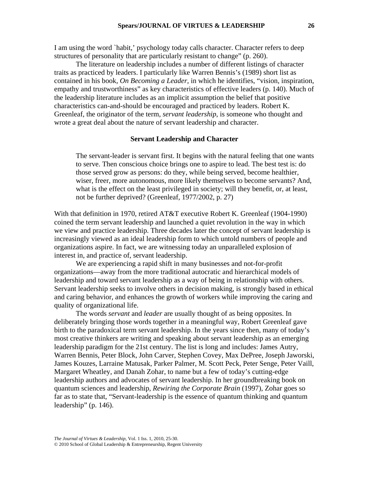I am using the word `habit,' psychology today calls character. Character refers to deep structures of personality that are particularly resistant to change" (p. 260).

 The literature on leadership includes a number of different listings of character traits as practiced by leaders. I particularly like Warren Bennis's (1989) short list as contained in his book, *On Becoming a Leader*, in which he identifies, "vision, inspiration, empathy and trustworthiness" as key characteristics of effective leaders (p. 140). Much of the leadership literature includes as an implicit assumption the belief that positive characteristics can-and-should be encouraged and practiced by leaders. Robert K. Greenleaf, the originator of the term, *servant leadership*, is someone who thought and wrote a great deal about the nature of servant leadership and character.

## **Servant Leadership and Character**

The servant-leader is servant first. It begins with the natural feeling that one wants to serve. Then conscious choice brings one to aspire to lead. The best test is: do those served grow as persons: do they, while being served, become healthier, wiser, freer, more autonomous, more likely themselves to become servants? And, what is the effect on the least privileged in society; will they benefit, or, at least, not be further deprived? (Greenleaf, 1977/2002, p. 27)

With that definition in 1970, retired AT&T executive Robert K. Greenleaf (1904-1990) coined the term servant leadership and launched a quiet revolution in the way in which we view and practice leadership. Three decades later the concept of servant leadership is increasingly viewed as an ideal leadership form to which untold numbers of people and organizations aspire. In fact, we are witnessing today an unparalleled explosion of interest in, and practice of, servant leadership.

 We are experiencing a rapid shift in many businesses and not-for-profit organizations—away from the more traditional autocratic and hierarchical models of leadership and toward servant leadership as a way of being in relationship with others. Servant leadership seeks to involve others in decision making, is strongly based in ethical and caring behavior, and enhances the growth of workers while improving the caring and quality of organizational life.

 The words *servant* and *leader* are usually thought of as being opposites. In deliberately bringing those words together in a meaningful way, Robert Greenleaf gave birth to the paradoxical term servant leadership. In the years since then, many of today's most creative thinkers are writing and speaking about servant leadership as an emerging leadership paradigm for the 21st century. The list is long and includes: James Autry, Warren Bennis, Peter Block, John Carver, Stephen Covey, Max DePree, Joseph Jaworski, James Kouzes, Larraine Matusak, Parker Palmer, M. Scott Peck, Peter Senge, Peter Vaill, Margaret Wheatley, and Danah Zohar, to name but a few of today's cutting-edge leadership authors and advocates of servant leadership. In her groundbreaking book on quantum sciences and leadership*, Rewiring the Corporate Brain* (1997), Zohar goes so far as to state that, "Servant-leadership is the essence of quantum thinking and quantum leadership" (p. 146).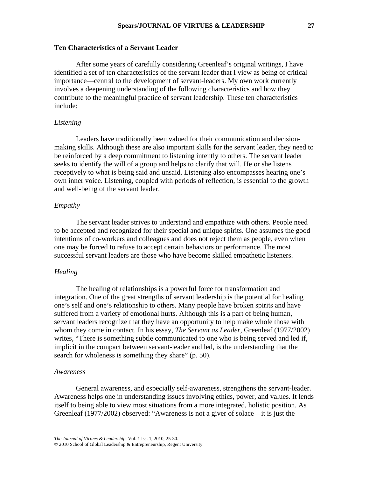# **Ten Characteristics of a Servant Leader**

 After some years of carefully considering Greenleaf's original writings, I have identified a set of ten characteristics of the servant leader that I view as being of critical importance—central to the development of servant-leaders. My own work currently involves a deepening understanding of the following characteristics and how they contribute to the meaningful practice of servant leadership. These ten characteristics include:

## *Listening*

 Leaders have traditionally been valued for their communication and decisionmaking skills. Although these are also important skills for the servant leader, they need to be reinforced by a deep commitment to listening intently to others. The servant leader seeks to identify the will of a group and helps to clarify that will. He or she listens receptively to what is being said and unsaid. Listening also encompasses hearing one's own inner voice. Listening, coupled with periods of reflection, is essential to the growth and well-being of the servant leader.

# *Empathy*

 The servant leader strives to understand and empathize with others. People need to be accepted and recognized for their special and unique spirits. One assumes the good intentions of co-workers and colleagues and does not reject them as people, even when one may be forced to refuse to accept certain behaviors or performance. The most successful servant leaders are those who have become skilled empathetic listeners.

# *Healing*

 The healing of relationships is a powerful force for transformation and integration. One of the great strengths of servant leadership is the potential for healing one's self and one's relationship to others. Many people have broken spirits and have suffered from a variety of emotional hurts. Although this is a part of being human, servant leaders recognize that they have an opportunity to help make whole those with whom they come in contact. In his essay, *The Servant as Leader*, Greenleaf (1977/2002) writes, "There is something subtle communicated to one who is being served and led if, implicit in the compact between servant-leader and led, is the understanding that the search for wholeness is something they share" (p. 50).

#### *Awareness*

 General awareness, and especially self-awareness, strengthens the servant-leader. Awareness helps one in understanding issues involving ethics, power, and values. It lends itself to being able to view most situations from a more integrated, holistic position. As Greenleaf (1977/2002) observed: "Awareness is not a giver of solace—it is just the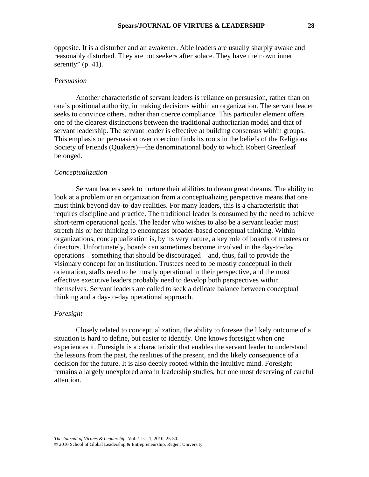opposite. It is a disturber and an awakener. Able leaders are usually sharply awake and reasonably disturbed. They are not seekers after solace. They have their own inner serenity"  $(p. 41)$ .

## *Persuasion*

 Another characteristic of servant leaders is reliance on persuasion, rather than on one's positional authority, in making decisions within an organization. The servant leader seeks to convince others, rather than coerce compliance. This particular element offers one of the clearest distinctions between the traditional authoritarian model and that of servant leadership. The servant leader is effective at building consensus within groups. This emphasis on persuasion over coercion finds its roots in the beliefs of the Religious Society of Friends (Quakers)—the denominational body to which Robert Greenleaf belonged.

## *Conceptualization*

 Servant leaders seek to nurture their abilities to dream great dreams. The ability to look at a problem or an organization from a conceptualizing perspective means that one must think beyond day-to-day realities. For many leaders, this is a characteristic that requires discipline and practice. The traditional leader is consumed by the need to achieve short-term operational goals. The leader who wishes to also be a servant leader must stretch his or her thinking to encompass broader-based conceptual thinking. Within organizations, conceptualization is, by its very nature, a key role of boards of trustees or directors. Unfortunately, boards can sometimes become involved in the day-to-day operations—something that should be discouraged—and, thus, fail to provide the visionary concept for an institution. Trustees need to be mostly conceptual in their orientation, staffs need to be mostly operational in their perspective, and the most effective executive leaders probably need to develop both perspectives within themselves. Servant leaders are called to seek a delicate balance between conceptual thinking and a day-to-day operational approach.

## *Foresight*

 Closely related to conceptualization, the ability to foresee the likely outcome of a situation is hard to define, but easier to identify. One knows foresight when one experiences it. Foresight is a characteristic that enables the servant leader to understand the lessons from the past, the realities of the present, and the likely consequence of a decision for the future. It is also deeply rooted within the intuitive mind. Foresight remains a largely unexplored area in leadership studies, but one most deserving of careful attention.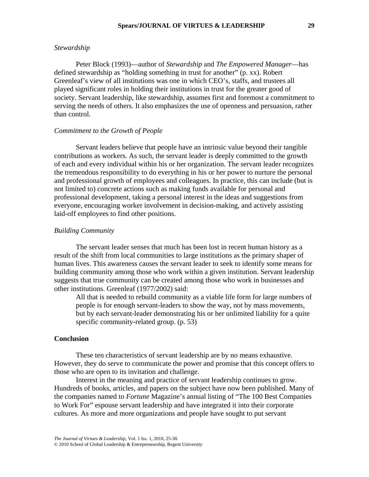#### *Stewardship*

Peter Block (1993)—author of *Stewardship* and *The Empowered Manager*—has defined stewardship as "holding something in trust for another" (p. xx). Robert Greenleaf's view of all institutions was one in which CEO's, staffs, and trustees all played significant roles in holding their institutions in trust for the greater good of society. Servant leadership, like stewardship, assumes first and foremost a commitment to serving the needs of others. It also emphasizes the use of openness and persuasion, rather than control.

# *Commitment to the Growth of People*

 Servant leaders believe that people have an intrinsic value beyond their tangible contributions as workers. As such, the servant leader is deeply committed to the growth of each and every individual within his or her organization. The servant leader recognizes the tremendous responsibility to do everything in his or her power to nurture the personal and professional growth of employees and colleagues. In practice, this can include (but is not limited to) concrete actions such as making funds available for personal and professional development, taking a personal interest in the ideas and suggestions from everyone, encouraging worker involvement in decision-making, and actively assisting laid-off employees to find other positions.

## *Building Community*

 The servant leader senses that much has been lost in recent human history as a result of the shift from local communities to large institutions as the primary shaper of human lives. This awareness causes the servant leader to seek to identify some means for building community among those who work within a given institution. Servant leadership suggests that true community can be created among those who work in businesses and other institutions. Greenleaf (1977/2002) said:

All that is needed to rebuild community as a viable life form for large numbers of people is for enough servant-leaders to show the way, not by mass movements, but by each servant-leader demonstrating his or her unlimited liability for a quite specific community-related group. (p. 53)

## **Conclusion**

 These ten characteristics of servant leadership are by no means exhaustive. However, they do serve to communicate the power and promise that this concept offers to those who are open to its invitation and challenge.

 Interest in the meaning and practice of servant leadership continues to grow. Hundreds of books, articles, and papers on the subject have now been published. Many of the companies named to *Fortune* Magazine's annual listing of "The 100 Best Companies to Work For" espouse servant leadership and have integrated it into their corporate cultures. As more and more organizations and people have sought to put servant